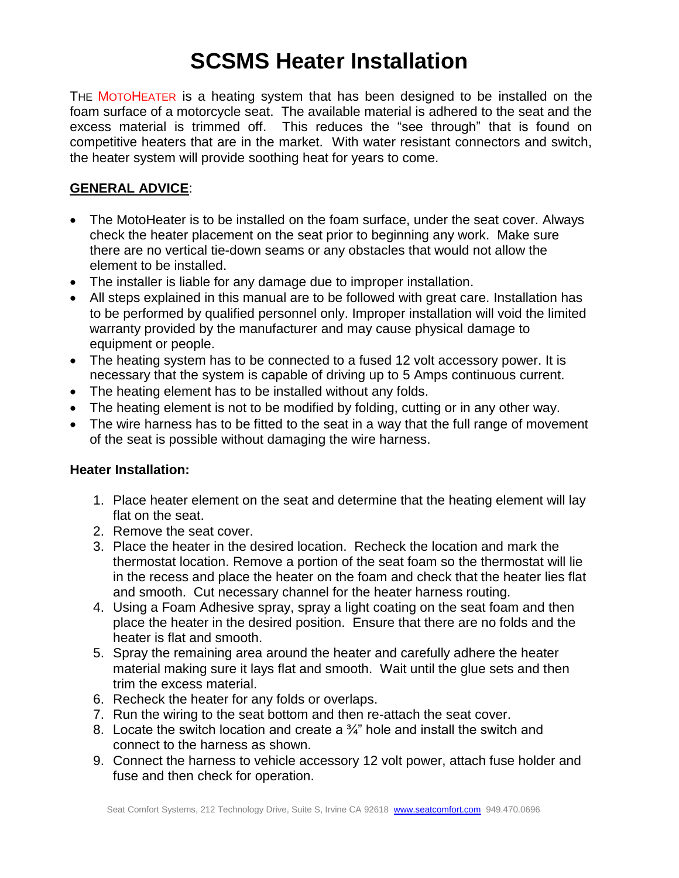## **SCSMS Heater Installation**

THE MOTOHEATER is a heating system that has been designed to be installed on the foam surface of a motorcycle seat. The available material is adhered to the seat and the excess material is trimmed off. This reduces the "see through" that is found on competitive heaters that are in the market. With water resistant connectors and switch, the heater system will provide soothing heat for years to come.

## **GENERAL ADVICE**:

- The MotoHeater is to be installed on the foam surface, under the seat cover. Always check the heater placement on the seat prior to beginning any work. Make sure there are no vertical tie-down seams or any obstacles that would not allow the element to be installed.
- The installer is liable for any damage due to improper installation.
- All steps explained in this manual are to be followed with great care. Installation has to be performed by qualified personnel only. Improper installation will void the limited warranty provided by the manufacturer and may cause physical damage to equipment or people.
- The heating system has to be connected to a fused 12 volt accessory power. It is necessary that the system is capable of driving up to 5 Amps continuous current.
- The heating element has to be installed without any folds.
- The heating element is not to be modified by folding, cutting or in any other way.
- The wire harness has to be fitted to the seat in a way that the full range of movement of the seat is possible without damaging the wire harness.

## **Heater Installation:**

- 1. Place heater element on the seat and determine that the heating element will lay flat on the seat.
- 2. Remove the seat cover.
- 3. Place the heater in the desired location. Recheck the location and mark the thermostat location. Remove a portion of the seat foam so the thermostat will lie in the recess and place the heater on the foam and check that the heater lies flat and smooth. Cut necessary channel for the heater harness routing.
- 4. Using a Foam Adhesive spray, spray a light coating on the seat foam and then place the heater in the desired position. Ensure that there are no folds and the heater is flat and smooth.
- 5. Spray the remaining area around the heater and carefully adhere the heater material making sure it lays flat and smooth. Wait until the glue sets and then trim the excess material.
- 6. Recheck the heater for any folds or overlaps.
- 7. Run the wiring to the seat bottom and then re-attach the seat cover.
- 8. Locate the switch location and create a  $\frac{3}{4}$ " hole and install the switch and connect to the harness as shown.
- 9. Connect the harness to vehicle accessory 12 volt power, attach fuse holder and fuse and then check for operation.